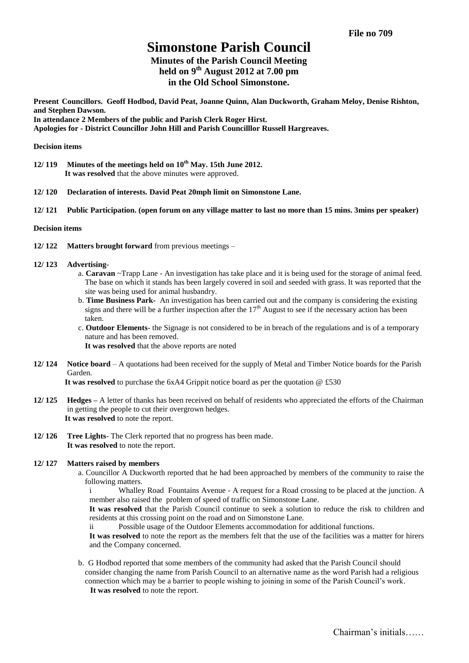# **Simonstone Parish Council**

# **Minutes of the Parish Council Meeting held on 9 th August 2012 at 7.00 pm in the Old School Simonstone.**

**Present Councillors. Geoff Hodbod, David Peat, Joanne Quinn, Alan Duckworth, Graham Meloy, Denise Rishton, and Stephen Dawson. In attendance 2 Members of the public and Parish Clerk Roger Hirst.**

**Apologies for - District Councillor John Hill and Parish Councilllor Russell Hargreaves.**

#### **Decision items**

- **12/ 119 Minutes of the meetings held on 10th May. 15th June 2012. It was resolved** that the above minutes were approved.
- **12/ 120 Declaration of interests. David Peat 20mph limit on Simonstone Lane.**
- **12/ 121 Public Participation. (open forum on any village matter to last no more than 15 mins. 3mins per speaker)**

#### **Decision items**

- **12/ 122 Matters brought forward** from previous meetings –
- **12/ 123 Advertising**
	- a. **Caravan** ~Trapp Lane An investigation has take place and it is being used for the storage of animal feed. The base on which it stands has been largely covered in soil and seeded with grass. It was reported that the site was being used for animal husbandry.
	- b. **Time Business Park-** An investigation has been carried out and the company is considering the existing signs and there will be a further inspection after the  $17<sup>th</sup>$  August to see if the necessary action has been taken.
	- c. **Outdoor Elements** the Signage is not considered to be in breach of the regulations and is of a temporary nature and has been removed.

 **It was resolved** that the above reports are noted

**12/ 124 Notice board** – A quotations had been received for the supply of Metal and Timber Notice boards for the Parish Garden.

**It was resolved** to purchase the 6xA4 Grippit notice board as per the quotation @ £530

- **12/ 125 Hedges –** A letter of thanks has been received on behalf of residents who appreciated the efforts of the Chairman in getting the people to cut their overgrown hedges. **It was resolved** to note the report.
- **12/ 126 Tree Lights** The Clerk reported that no progress has been made. **It was resolved** to note the report.

#### **12/ 127 Matters raised by members**

a. Councillor A Duckworth reported that he had been approached by members of the community to raise the following matters.

i Whalley Road Fountains Avenue - A request for a Road crossing to be placed at the junction. A member also raised the problem of speed of traffic on Simonstone Lane.

**It was resolved** that the Parish Council continue to seek a solution to reduce the risk to children and residents at this crossing point on the road and on Simonstone Lane.

ii Possible usage of the Outdoor Elements accommodation for additional functions.

**It was resolved** to note the report as the members felt that the use of the facilities was a matter for hirers and the Company concerned.

b. G Hodbod reported that some members of the community had asked that the Parish Council should consider changing the name from Parish Council to an alternative name as the word Parish had a religious connection which may be a barrier to people wishing to joining in some of the Parish Council's work. **It was resolved** to note the report.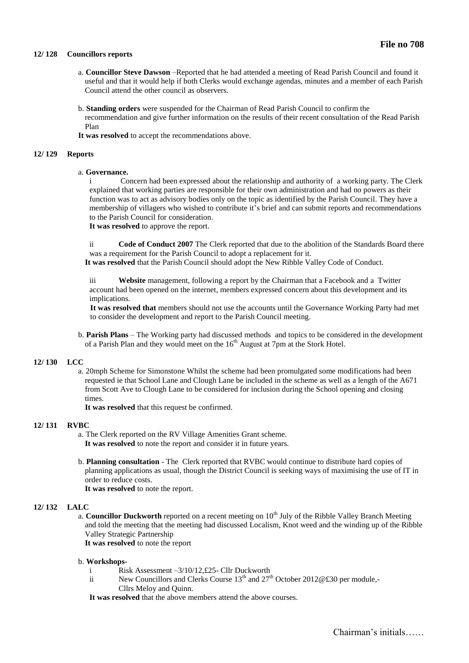#### **12/ 128 Councillors reports**

- a. **Councillor Steve Dawson** –Reported that he had attended a meeting of Read Parish Council and found it useful and that it would help if both Clerks would exchange agendas, minutes and a member of each Parish Council attend the other council as observers.
- b. **Standing orders** were suspended for the Chairman of Read Parish Council to confirm the recommendation and give further information on the results of their recent consultation of the Read Parish Plan
- **It was resolved** to accept the recommendations above.

#### **12/ 129 Reports**

#### a. **Governance.**

i Concern had been expressed about the relationship and authority of a working party. The Clerk explained that working parties are responsible for their own administration and had no powers as their function was to act as advisory bodies only on the topic as identified by the Parish Council. They have a membership of villagers who wished to contribute it's brief and can submit reports and recommendations to the Parish Council for consideration.

**It was resolved** to approve the report.

ii **Code of Conduct 2007** The Clerk reported that due to the abolition of the Standards Board there was a requirement for the Parish Council to adopt a replacement for it.

**It was resolved** that the Parish Council should adopt the New Ribble Valley Code of Conduct.

iii **Website** management, following a report by the Chairman that a Facebook and a Twitter account had been opened on the internet, members expressed concern about this development and its implications.

**It was resolved that** members should not use the accounts until the Governance Working Party had met to consider the development and report to the Parish Council meeting.

b. **Parish Plans** – The Working party had discussed methods and topics to be considered in the development of a Parish Plan and they would meet on the  $16<sup>th</sup>$  August at 7pm at the Stork Hotel.

#### **12/ 130 LCC**

a. 20mph Scheme for Simonstone Whilst the scheme had been promulgated some modifications had been requested ie that School Lane and Clough Lane be included in the scheme as well as a length of the A671 from Scott Ave to Clough Lane to be considered for inclusion during the School opening and closing times.

**It was resolved** that this request be confirmed.

#### **12/ 131 RVBC**

- a. The Clerk reported on the RV Village Amenities Grant scheme. **It was resolved** to note the report and consider it in future years.
- b. **Planning consultation** The Clerk reported that RVBC would continue to distribute hard copies of planning applications as usual, though the District Council is seeking ways of maximising the use of IT in order to reduce costs.

**It was resolved** to note the report.

## **12/ 132 LALC**

a. **Councillor Duckworth** reported on a recent meeting on 10<sup>th</sup> July of the Ribble Valley Branch Meeting and told the meeting that the meeting had discussed Localism, Knot weed and the winding up of the Ribble Valley Strategic Partnership

**It was resolved** to note the report

#### b. **Workshops-**

- Risk Assessment –3/10/12,£25- Cllr Duckworth
- ii New Councillors and Clerks Course  $13<sup>th</sup>$  and  $27<sup>th</sup>$  October 2012@£30 per module,-Cllrs Meloy and Quinn.
- **It was resolved** that the above members attend the above courses.